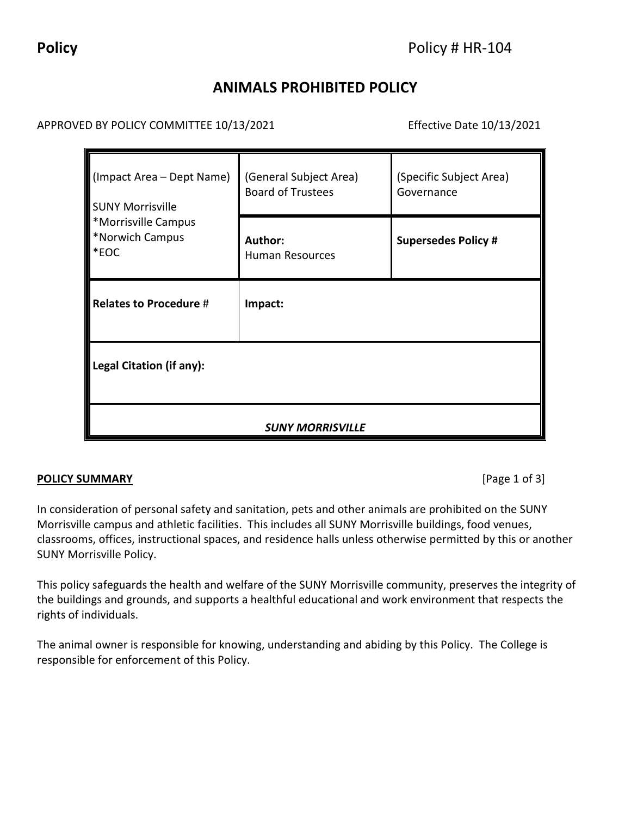# **ANIMALS PROHIBITED POLICY**

APPROVED BY POLICY COMMITTEE 10/13/2021 Effective Date 10/13/2021

| $\blacksquare$ (Impact Area – Dept Name)<br><b>SUNY Morrisville</b><br>*Morrisville Campus<br>*Norwich Campus<br>$ \ast$ EOC | (General Subject Area)<br><b>Board of Trustees</b> | (Specific Subject Area)<br>Governance |
|------------------------------------------------------------------------------------------------------------------------------|----------------------------------------------------|---------------------------------------|
|                                                                                                                              | Author:<br><b>Human Resources</b>                  | <b>Supersedes Policy #</b>            |
| Relates to Procedure $#$                                                                                                     | Impact:                                            |                                       |
| Legal Citation (if any):                                                                                                     |                                                    |                                       |
| <b>SUNY MORRISVILLE</b>                                                                                                      |                                                    |                                       |

## **POLICY SUMMARY** [Page 1 of 3]

In consideration of personal safety and sanitation, pets and other animals are prohibited on the SUNY Morrisville campus and athletic facilities. This includes all SUNY Morrisville buildings, food venues, classrooms, offices, instructional spaces, and residence halls unless otherwise permitted by this or another SUNY Morrisville Policy.

This policy safeguards the health and welfare of the SUNY Morrisville community, preserves the integrity of the buildings and grounds, and supports a healthful educational and work environment that respects the rights of individuals.

The animal owner is responsible for knowing, understanding and abiding by this Policy. The College is responsible for enforcement of this Policy.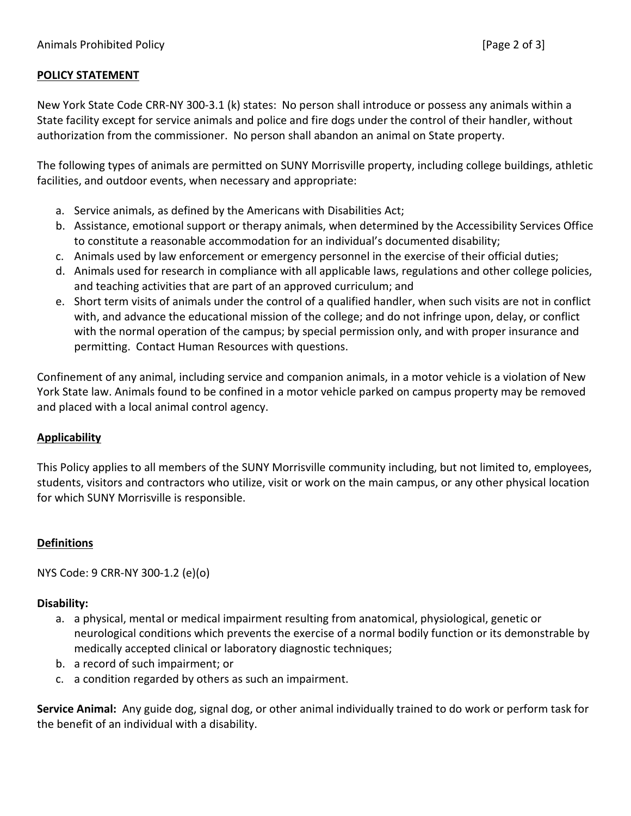### **POLICY STATEMENT**

New York State Code CRR-NY 300-3.1 (k) states: No person shall introduce or possess any animals within a State facility except for service animals and police and fire dogs under the control of their handler, without authorization from the commissioner. No person shall abandon an animal on State property.

The following types of animals are permitted on SUNY Morrisville property, including college buildings, athletic facilities, and outdoor events, when necessary and appropriate:

- a. Service animals, as defined by the Americans with Disabilities Act;
- b. Assistance, emotional support or therapy animals, when determined by the Accessibility Services Office to constitute a reasonable accommodation for an individual's documented disability;
- c. Animals used by law enforcement or emergency personnel in the exercise of their official duties;
- d. Animals used for research in compliance with all applicable laws, regulations and other college policies, and teaching activities that are part of an approved curriculum; and
- e. Short term visits of animals under the control of a qualified handler, when such visits are not in conflict with, and advance the educational mission of the college; and do not infringe upon, delay, or conflict with the normal operation of the campus; by special permission only, and with proper insurance and permitting. Contact Human Resources with questions.

Confinement of any animal, including service and companion animals, in a motor vehicle is a violation of New York State law. Animals found to be confined in a motor vehicle parked on campus property may be removed and placed with a local animal control agency.

### **Applicability**

This Policy applies to all members of the SUNY Morrisville community including, but not limited to, employees, students, visitors and contractors who utilize, visit or work on the main campus, or any other physical location for which SUNY Morrisville is responsible.

### **Definitions**

NYS Code: 9 CRR-NY 300-1.2 (e)(o)

### **Disability:**

- a. a physical, mental or medical impairment resulting from anatomical, physiological, genetic or neurological conditions which prevents the exercise of a normal bodily function or its demonstrable by medically accepted clinical or laboratory diagnostic techniques;
- b. a record of such impairment; or
- c. a condition regarded by others as such an impairment.

**Service Animal:** Any guide dog, signal dog, or other animal individually trained to do work or perform task for the benefit of an individual with a disability.